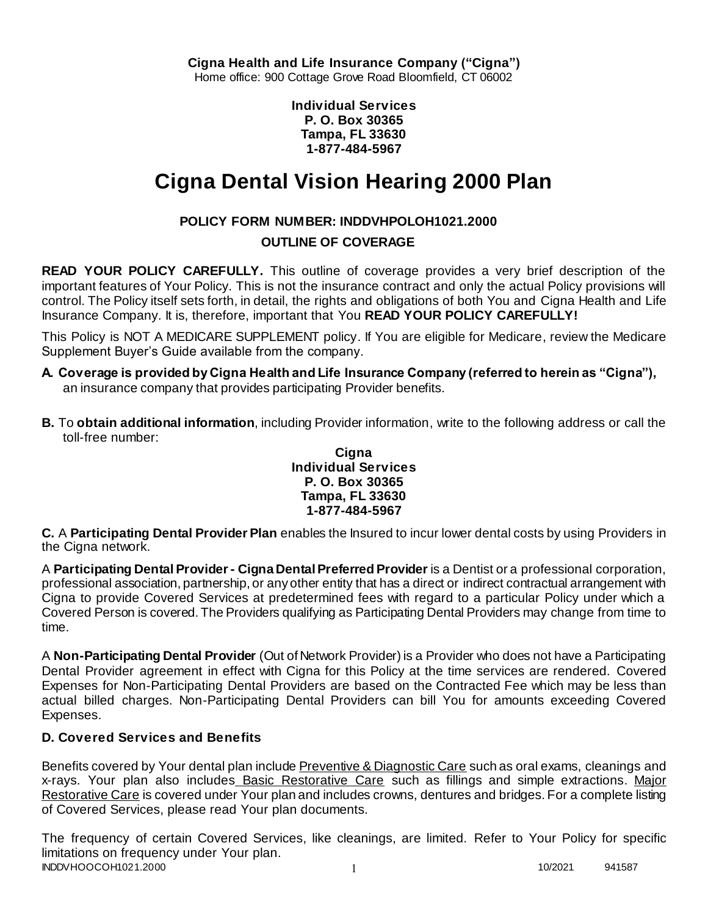**Individual Services P. O. Box 30365 Tampa, FL 33630 1-877-484-5967**

# **Cigna Dental Vision Hearing 2000 Plan**

# **POLICY FORM NUMBER: INDDVHPOLOH1021.2000**

# **OUTLINE OF COVERAGE**

**READ YOUR POLICY CAREFULLY.** This outline of coverage provides a very brief description of the important features of Your Policy. This is not the insurance contract and only the actual Policy provisions will control. The Policy itself sets forth, in detail, the rights and obligations of both You and Cigna Health and Life Insurance Company. It is, therefore, important that You **READ YOUR POLICY CAREFULLY!** 

This Policy is NOT A MEDICARE SUPPLEMENT policy. If You are eligible for Medicare, review the Medicare Supplement Buyer's Guide available from the company.

- **A. Coverage is provided by Cigna Health and Life Insurance Company (referred to herein as "Cigna"),**  an insurance company that provides participating Provider benefits.
- **B.** To **obtain additional information**, including Provider information, write to the following address or call the toll-free number:

### **Cigna Individual Services P. O. Box 30365 Tampa, FL 33630 1-877-484-5967**

**C.** A **Participating Dental Provider Plan** enables the Insured to incur lower dental costs by using Providers in the Cigna network.

A **Participating Dental Provider - Cigna Dental Preferred Provider** is a Dentist or a professional corporation, professional association, partnership, or any other entity that has a direct or indirect contractual arrangement with Cigna to provide Covered Services at predetermined fees with regard to a particular Policy under which a Covered Person is covered. The Providers qualifying as Participating Dental Providers may change from time to time.

A **Non-Participating Dental Provider** (Out of Network Provider) is a Provider who does not have a Participating Dental Provider agreement in effect with Cigna for this Policy at the time services are rendered. Covered Expenses for Non-Participating Dental Providers are based on the Contracted Fee which may be less than actual billed charges. Non-Participating Dental Providers can bill You for amounts exceeding Covered Expenses.

# **D. Covered Services and Benefits**

Benefits covered by Your dental plan include Preventive & Diagnostic Care such as oral exams, cleanings and x-rays. Your plan also includes Basic Restorative Care such as fillings and simple extractions. Major Restorative Care is covered under Your plan and includes crowns, dentures and bridges. For a complete listing of Covered Services, please read Your plan documents.

INDDVHOOCOH1021.2000 1 10/2021 941587 The frequency of certain Covered Services, like cleanings, are limited. Refer to Your Policy for specific limitations on frequency under Your plan.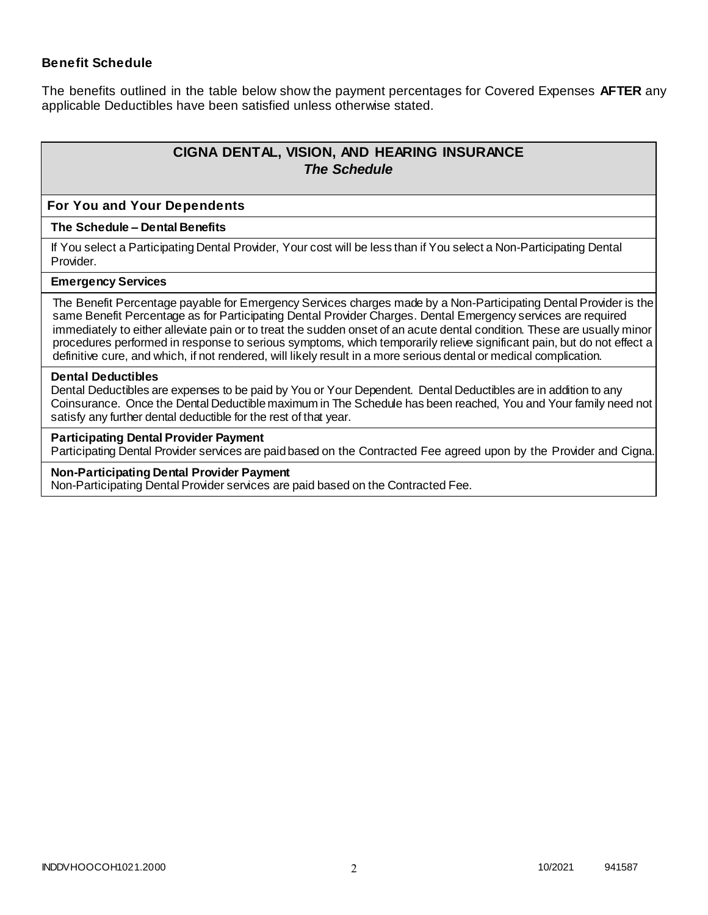### **Benefit Schedule**

The benefits outlined in the table below show the payment percentages for Covered Expenses **AFTER** any applicable Deductibles have been satisfied unless otherwise stated.

# **CIGNA DENTAL, VISION, AND HEARING INSURANCE** *The Schedule*

#### **For You and Your Dependents**

#### **The Schedule – Dental Benefits**

If You select a Participating Dental Provider, Your cost will be less than if You select a Non-Participating Dental Provider.

#### **Emergency Services**

The Benefit Percentage payable for Emergency Services charges made by a Non-Participating Dental Provider is the same Benefit Percentage as for Participating Dental Provider Charges. Dental Emergency services are required immediately to either alleviate pain or to treat the sudden onset of an acute dental condition. These are usually minor procedures performed in response to serious symptoms, which temporarily relieve significant pain, but do not effect a definitive cure, and which, if not rendered, will likely result in a more serious dental or medical complication.

#### **Dental Deductibles**

Dental Deductibles are expenses to be paid by You or Your Dependent. Dental Deductibles are in addition to any Coinsurance. Once the Dental Deductible maximum in The Schedule has been reached, You and Your family need not satisfy any further dental deductible for the rest of that year.

#### **Participating Dental Provider Payment**

Participating Dental Provider services are paid based on the Contracted Fee agreed upon by the Provider and Cigna.

#### **Non-Participating Dental Provider Payment**

Non-Participating Dental Provider services are paid based on the Contracted Fee.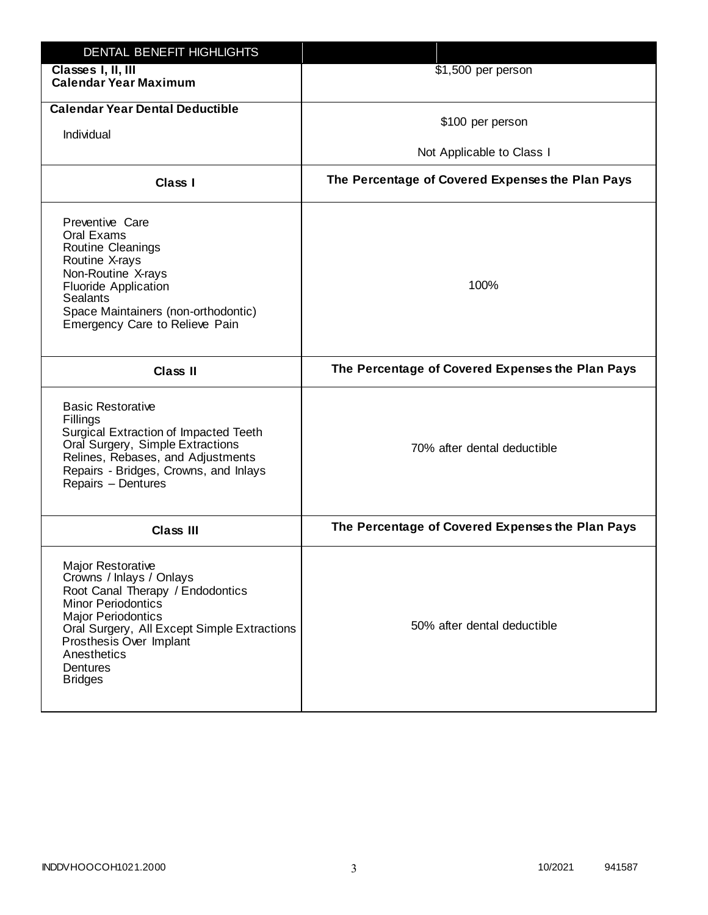| DENTAL BENEFIT HIGHLIGHTS                                                                                                                                                                                                                                                 |                                                  |
|---------------------------------------------------------------------------------------------------------------------------------------------------------------------------------------------------------------------------------------------------------------------------|--------------------------------------------------|
| Classes I, II, III<br><b>Calendar Year Maximum</b>                                                                                                                                                                                                                        | \$1,500 per person                               |
| <b>Calendar Year Dental Deductible</b><br>Individual                                                                                                                                                                                                                      | \$100 per person<br>Not Applicable to Class I    |
| Class I                                                                                                                                                                                                                                                                   | The Percentage of Covered Expenses the Plan Pays |
| Preventive Care<br>Oral Exams<br>Routine Cleanings<br>Routine X-rays<br>Non-Routine X-rays<br><b>Fluoride Application</b><br><b>Sealants</b><br>Space Maintainers (non-orthodontic)<br>Emergency Care to Relieve Pain                                                     | 100%                                             |
| <b>Class II</b>                                                                                                                                                                                                                                                           | The Percentage of Covered Expenses the Plan Pays |
| <b>Basic Restorative</b><br>Fillings<br>Surgical Extraction of Impacted Teeth<br>Oral Surgery, Simple Extractions<br>Relines, Rebases, and Adjustments<br>Repairs - Bridges, Crowns, and Inlays<br>Repairs - Dentures                                                     | 70% after dental deductible                      |
| <b>Class III</b>                                                                                                                                                                                                                                                          | The Percentage of Covered Expenses the Plan Pays |
| <b>Major Restorative</b><br>Crowns / Inlays / Onlays<br>Root Canal Therapy / Endodontics<br><b>Minor Periodontics</b><br><b>Major Periodontics</b><br>Oral Surgery, All Except Simple Extractions<br>Prosthesis Over Implant<br>Anesthetics<br>Dentures<br><b>Bridges</b> | 50% after dental deductible                      |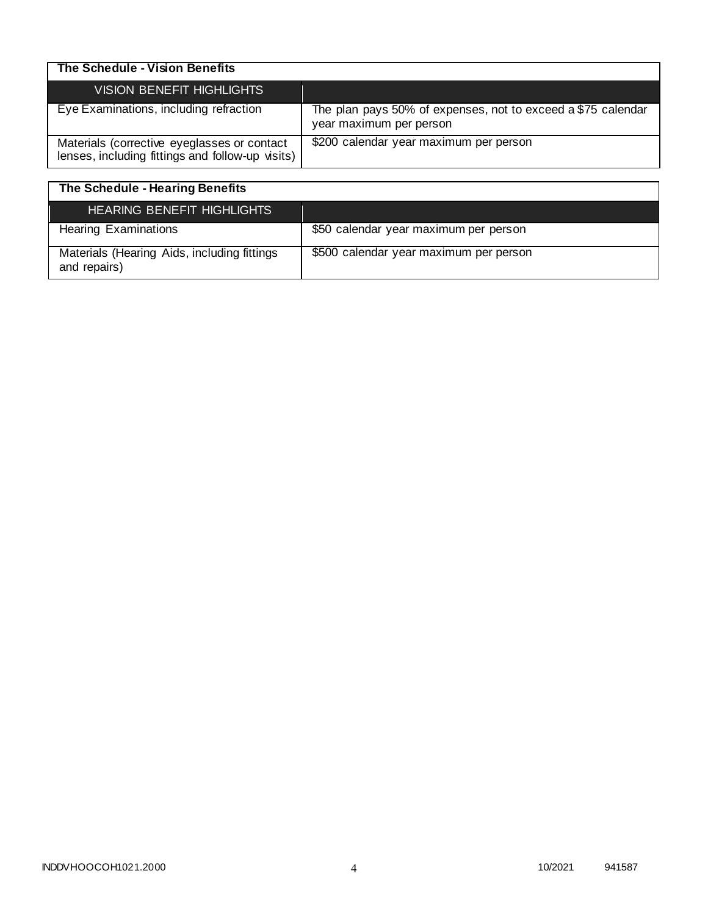| The Schedule - Vision Benefits                                                                  |                                                                                         |
|-------------------------------------------------------------------------------------------------|-----------------------------------------------------------------------------------------|
| VISION BENEFIT HIGHLIGHTS                                                                       |                                                                                         |
| Eye Examinations, including refraction                                                          | The plan pays 50% of expenses, not to exceed a \$75 calendar<br>year maximum per person |
| Materials (corrective eyeglasses or contact<br>lenses, including fittings and follow-up visits) | \$200 calendar year maximum per person                                                  |

| The Schedule - Hearing Benefits                             |                                        |
|-------------------------------------------------------------|----------------------------------------|
| <b>HEARING BENEFIT HIGHLIGHTS</b>                           |                                        |
| <b>Hearing Examinations</b>                                 | \$50 calendar year maximum per person  |
| Materials (Hearing Aids, including fittings<br>and repairs) | \$500 calendar year maximum per person |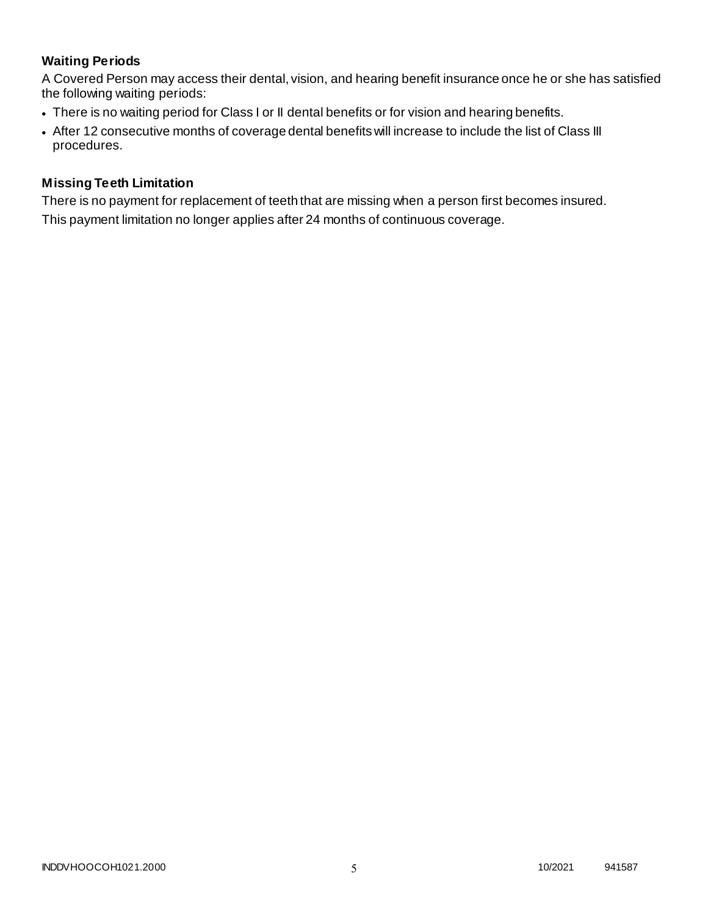# **Waiting Periods**

A Covered Person may access their dental, vision, and hearing benefit insurance once he or she has satisfied the following waiting periods:

- There is no waiting period for Class I or II dental benefits or for vision and hearing benefits.
- After 12 consecutive months of coverage dental benefits will increase to include the list of Class III procedures.

### **Missing Teeth Limitation**

There is no payment for replacement of teeth that are missing when a person first becomes insured. This payment limitation no longer applies after 24 months of continuous coverage.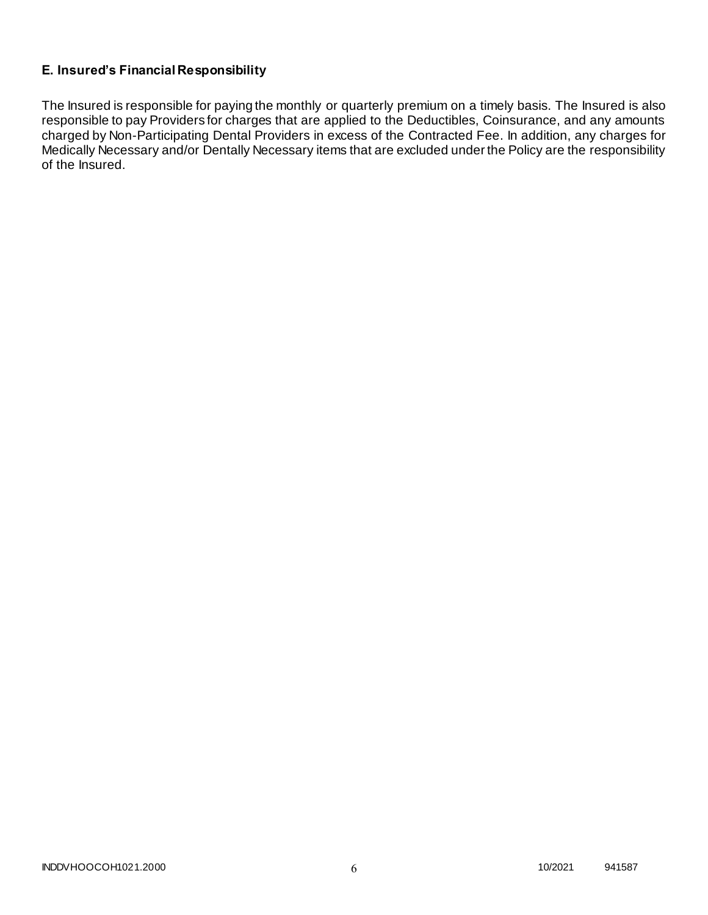# **E. Insured's Financial Responsibility**

The Insured is responsible for paying the monthly or quarterly premium on a timely basis. The Insured is also responsible to pay Providers for charges that are applied to the Deductibles, Coinsurance, and any amounts charged by Non-Participating Dental Providers in excess of the Contracted Fee. In addition, any charges for Medically Necessary and/or Dentally Necessary items that are excluded under the Policy are the responsibility of the Insured.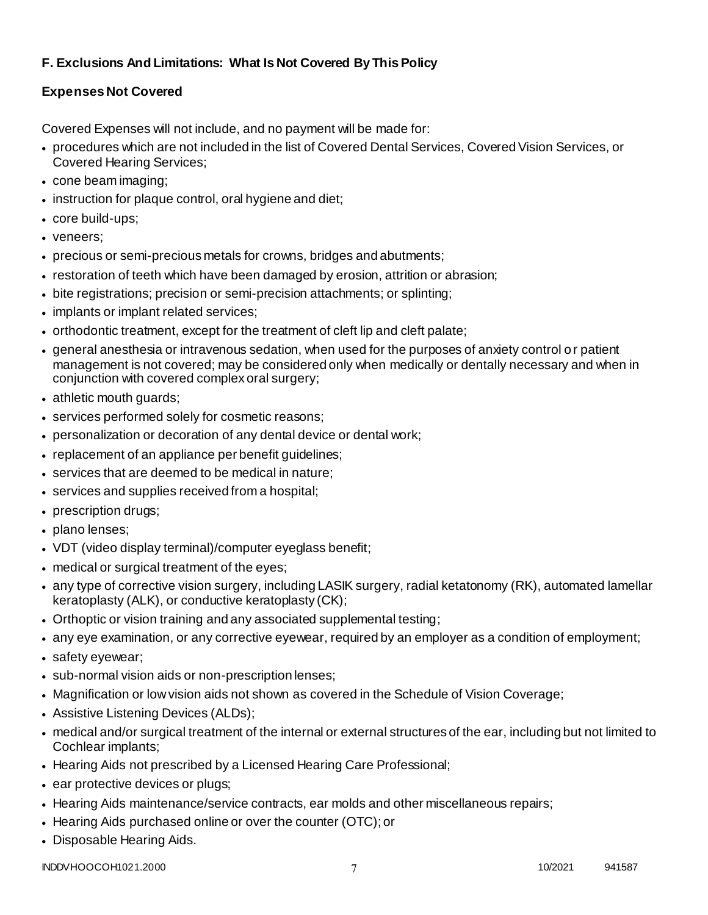# **F. Exclusions And Limitations: What Is Not Covered By This Policy**

# **Expenses Not Covered**

Covered Expenses will not include, and no payment will be made for:

- procedures which are not included in the list of Covered Dental Services, Covered Vision Services, or Covered Hearing Services;
- cone beam imaging;
- instruction for plaque control, oral hygiene and diet;
- core build-ups;
- veneers;
- precious or semi-precious metals for crowns, bridges and abutments;
- restoration of teeth which have been damaged by erosion, attrition or abrasion;
- bite registrations; precision or semi-precision attachments; or splinting;
- implants or implant related services;
- orthodontic treatment, except for the treatment of cleft lip and cleft palate;
- general anesthesia or intravenous sedation, when used for the purposes of anxiety control o r patient management is not covered; may be considered only when medically or dentally necessary and when in conjunction with covered complex oral surgery;
- athletic mouth guards;
- services performed solely for cosmetic reasons;
- personalization or decoration of any dental device or dental work;
- replacement of an appliance per benefit guidelines;
- services that are deemed to be medical in nature;
- services and supplies received from a hospital;
- prescription drugs;
- plano lenses:
- VDT (video display terminal)/computer eyeglass benefit;
- medical or surgical treatment of the eyes;
- any type of corrective vision surgery, including LASIK surgery, radial ketatonomy (RK), automated lamellar keratoplasty (ALK), or conductive keratoplasty (CK);
- Orthoptic or vision training and any associated supplemental testing;
- any eye examination, or any corrective eyewear, required by an employer as a condition of employment;
- safety eyewear;
- sub-normal vision aids or non-prescription lenses;
- Magnification or low vision aids not shown as covered in the Schedule of Vision Coverage;
- Assistive Listening Devices (ALDs);
- medical and/or surgical treatment of the internal or external structures of the ear, including but not limited to Cochlear implants;
- Hearing Aids not prescribed by a Licensed Hearing Care Professional;
- ear protective devices or plugs;
- Hearing Aids maintenance/service contracts, ear molds and other miscellaneous repairs;
- Hearing Aids purchased online or over the counter (OTC); or
- Disposable Hearing Aids.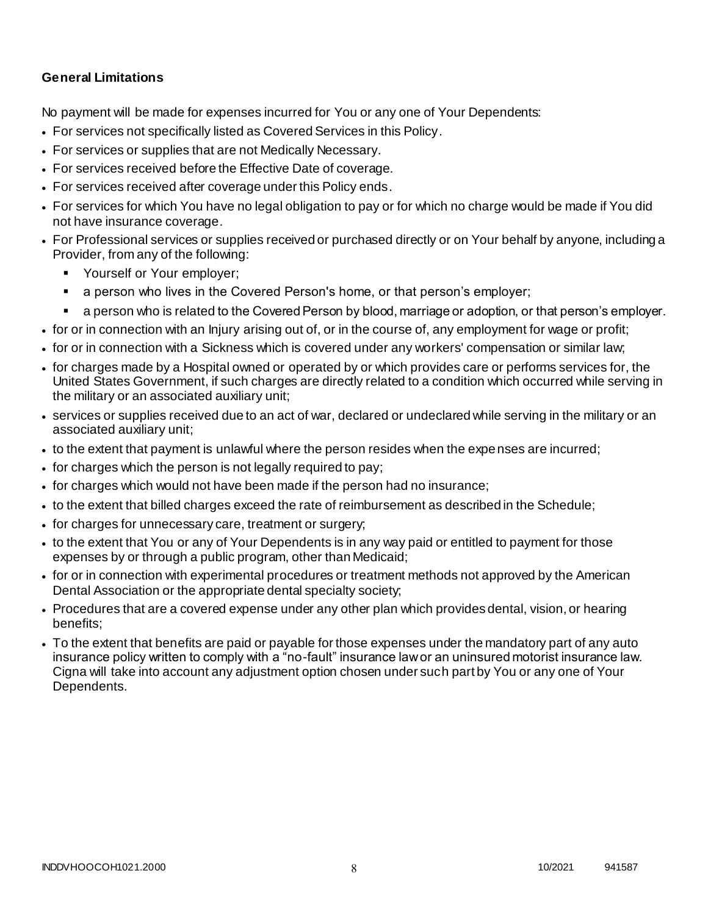### **General Limitations**

No payment will be made for expenses incurred for You or any one of Your Dependents:

- For services not specifically listed as Covered Services in this Policy.
- For services or supplies that are not Medically Necessary.
- For services received before the Effective Date of coverage.
- For services received after coverage under this Policy ends.
- For services for which You have no legal obligation to pay or for which no charge would be made if You did not have insurance coverage.
- For Professional services or supplies received or purchased directly or on Your behalf by anyone, including a Provider, from any of the following:
	- **Yourself or Your employer;**
	- a person who lives in the Covered Person's home, or that person's employer;
	- a person who is related to the Covered Person by blood, marriage or adoption, or that person's employer.
- for or in connection with an Injury arising out of, or in the course of, any employment for wage or profit;
- for or in connection with a Sickness which is covered under any workers' compensation or similar law;
- for charges made by a Hospital owned or operated by or which provides care or performs services for, the United States Government, if such charges are directly related to a condition which occurred while serving in the military or an associated auxiliary unit;
- services or supplies received due to an act of war, declared or undeclared while serving in the military or an associated auxiliary unit;
- to the extent that payment is unlawful where the person resides when the expenses are incurred;
- for charges which the person is not legally required to pay;
- for charges which would not have been made if the person had no insurance;
- to the extent that billed charges exceed the rate of reimbursement as described in the Schedule;
- for charges for unnecessary care, treatment or surgery;
- to the extent that You or any of Your Dependents is in any way paid or entitled to payment for those expenses by or through a public program, other than Medicaid;
- for or in connection with experimental procedures or treatment methods not approved by the American Dental Association or the appropriate dental specialty society;
- Procedures that are a covered expense under any other plan which provides dental, vision, or hearing benefits;
- To the extent that benefits are paid or payable for those expenses under the mandatory part of any auto insurance policy written to comply with a "no-fault" insurance law or an uninsured motorist insurance law. Cigna will take into account any adjustment option chosen under such part by You or any one of Your Dependents.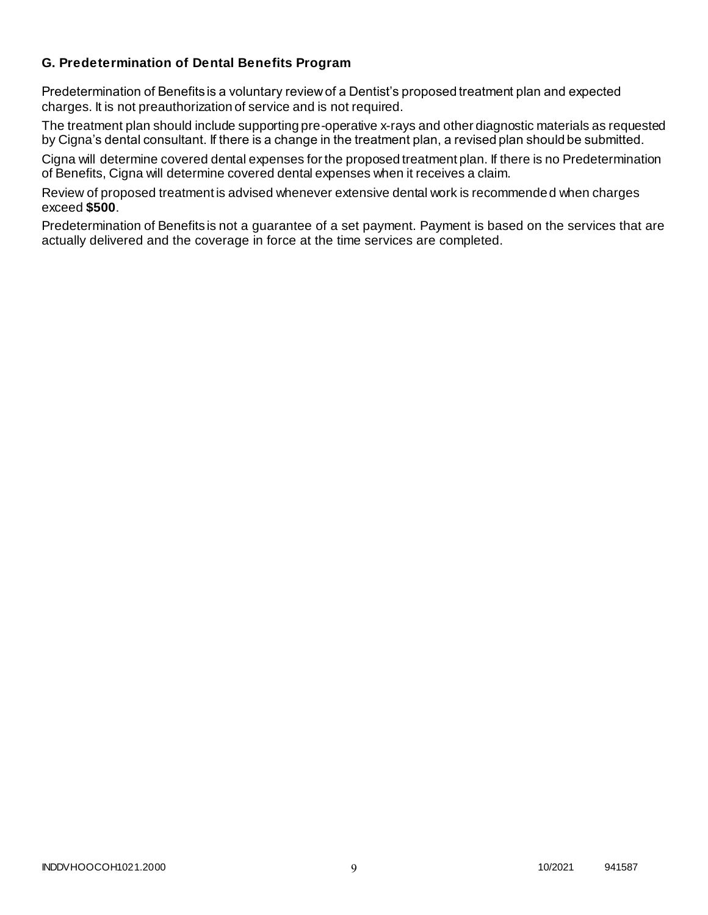### **G. Predetermination of Dental Benefits Program**

Predetermination of Benefits is a voluntary review of a Dentist's proposed treatment plan and expected charges. It is not preauthorization of service and is not required.

The treatment plan should include supporting pre-operative x-rays and other diagnostic materials as requested by Cigna's dental consultant. If there is a change in the treatment plan, a revised plan should be submitted.

Cigna will determine covered dental expenses for the proposed treatment plan. If there is no Predetermination of Benefits, Cigna will determine covered dental expenses when it receives a claim.

Review of proposed treatment is advised whenever extensive dental work is recommended when charges exceed **\$500**.

Predetermination of Benefits is not a guarantee of a set payment. Payment is based on the services that are actually delivered and the coverage in force at the time services are completed.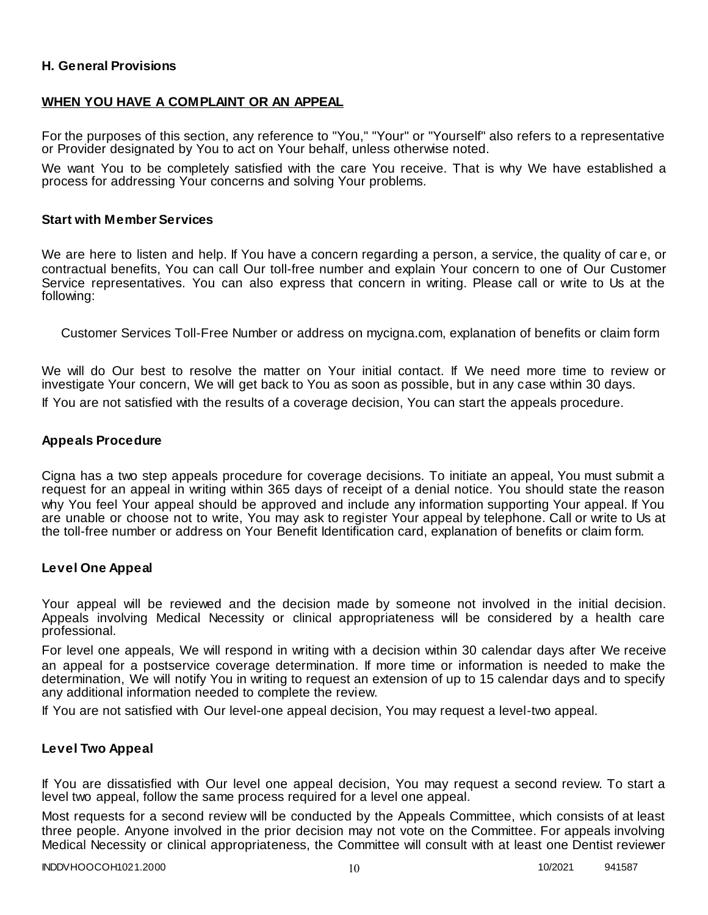### **H. General Provisions**

### **WHEN YOU HAVE A COMPLAINT OR AN APPEAL**

For the purposes of this section, any reference to "You," "Your" or "Yourself" also refers to a representative or Provider designated by You to act on Your behalf, unless otherwise noted.

We want You to be completely satisfied with the care You receive. That is why We have established a process for addressing Your concerns and solving Your problems.

#### **Start with Member Services**

We are here to listen and help. If You have a concern regarding a person, a service, the quality of car e, or contractual benefits, You can call Our toll-free number and explain Your concern to one of Our Customer Service representatives. You can also express that concern in writing. Please call or write to Us at the following:

Customer Services Toll-Free Number or address on mycigna.com, explanation of benefits or claim form

We will do Our best to resolve the matter on Your initial contact. If We need more time to review or investigate Your concern, We will get back to You as soon as possible, but in any case within 30 days.

If You are not satisfied with the results of a coverage decision, You can start the appeals procedure.

#### **Appeals Procedure**

Cigna has a two step appeals procedure for coverage decisions. To initiate an appeal, You must submit a request for an appeal in writing within 365 days of receipt of a denial notice. You should state the reason why You feel Your appeal should be approved and include any information supporting Your appeal. If You are unable or choose not to write, You may ask to register Your appeal by telephone. Call or write to Us at the toll-free number or address on Your Benefit Identification card, explanation of benefits or claim form.

#### **Level One Appeal**

Your appeal will be reviewed and the decision made by someone not involved in the initial decision. Appeals involving Medical Necessity or clinical appropriateness will be considered by a health care professional.

For level one appeals, We will respond in writing with a decision within 30 calendar days after We receive an appeal for a postservice coverage determination. If more time or information is needed to make the determination, We will notify You in writing to request an extension of up to 15 calendar days and to specify any additional information needed to complete the review.

If You are not satisfied with Our level-one appeal decision, You may request a level-two appeal.

#### **Level Two Appeal**

If You are dissatisfied with Our level one appeal decision, You may request a second review. To start a level two appeal, follow the same process required for a level one appeal.

Most requests for a second review will be conducted by the Appeals Committee, which consists of at least three people. Anyone involved in the prior decision may not vote on the Committee. For appeals involving Medical Necessity or clinical appropriateness, the Committee will consult with at least one Dentist reviewer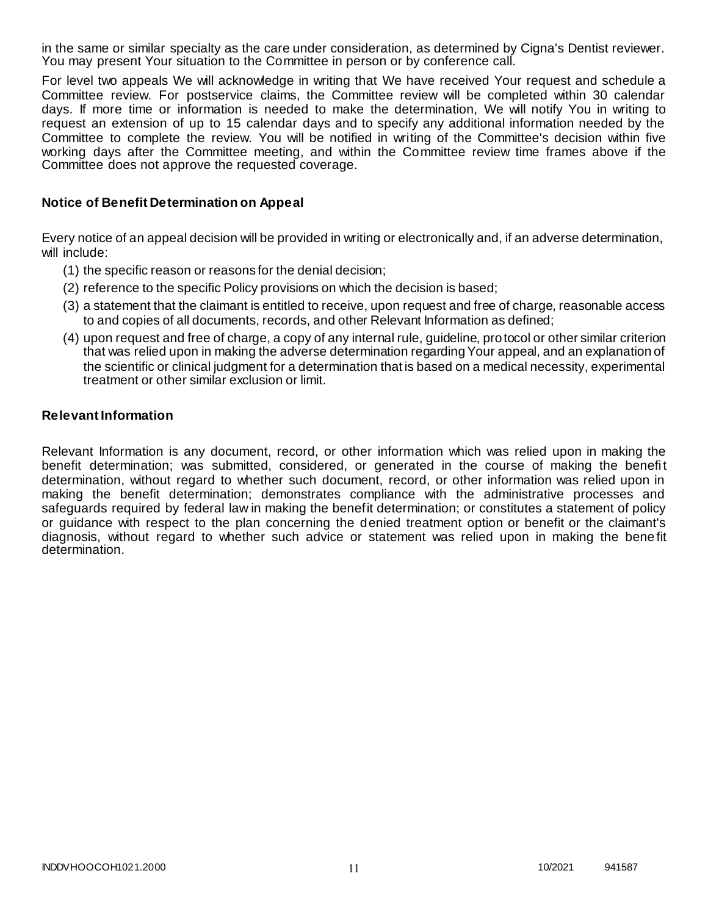in the same or similar specialty as the care under consideration, as determined by Cigna's Dentist reviewer. You may present Your situation to the Committee in person or by conference call.

For level two appeals We will acknowledge in writing that We have received Your request and schedule a Committee review. For postservice claims, the Committee review will be completed within 30 calendar days. If more time or information is needed to make the determination, We will notify You in writing to request an extension of up to 15 calendar days and to specify any additional information needed by the Committee to complete the review. You will be notified in writing of the Committee's decision within five working days after the Committee meeting, and within the Committee review time frames above if the Committee does not approve the requested coverage.

### **Notice of Benefit Determination on Appeal**

Every notice of an appeal decision will be provided in writing or electronically and, if an adverse determination, will include:

- (1) the specific reason or reasons for the denial decision;
- (2) reference to the specific Policy provisions on which the decision is based;
- (3) a statement that the claimant is entitled to receive, upon request and free of charge, reasonable access to and copies of all documents, records, and other Relevant Information as defined;
- (4) upon request and free of charge, a copy of any internal rule, guideline, protocol or other similar criterion that was relied upon in making the adverse determination regarding Your appeal, and an explanation of the scientific or clinical judgment for a determination that is based on a medical necessity, experimental treatment or other similar exclusion or limit.

### **Relevant Information**

Relevant Information is any document, record, or other information which was relied upon in making the benefit determination; was submitted, considered, or generated in the course of making the benefit determination, without regard to whether such document, record, or other information was relied upon in making the benefit determination; demonstrates compliance with the administrative processes and safeguards required by federal law in making the benefit determination; or constitutes a statement of policy or guidance with respect to the plan concerning the denied treatment option or benefit or the claimant's diagnosis, without regard to whether such advice or statement was relied upon in making the bene fit determination.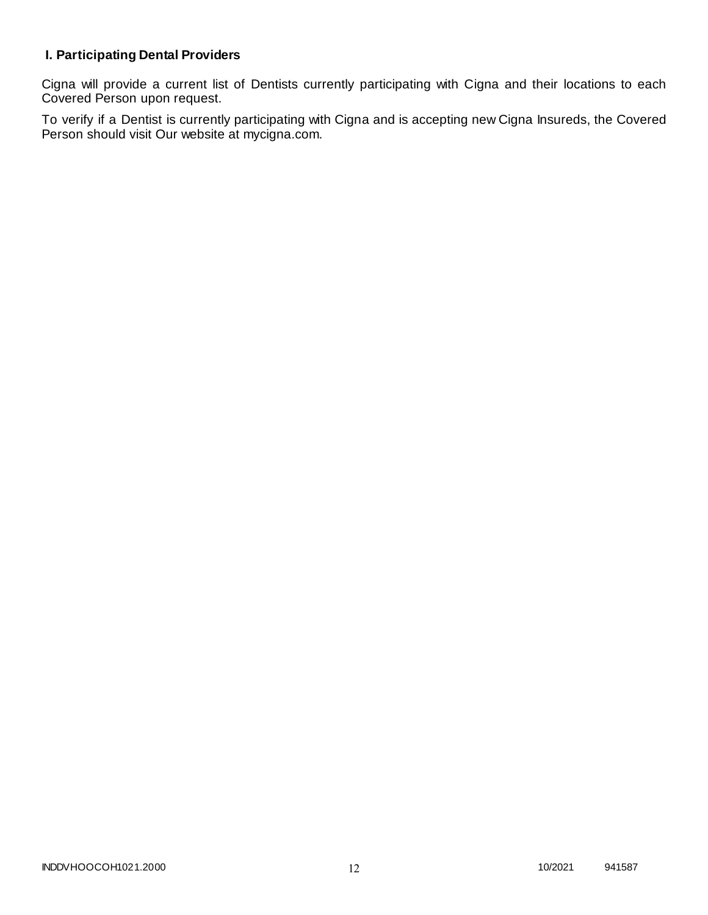# **I. Participating Dental Providers**

Cigna will provide a current list of Dentists currently participating with Cigna and their locations to each Covered Person upon request.

To verify if a Dentist is currently participating with Cigna and is accepting new Cigna Insureds, the Covered Person should visit Our website at mycigna.com.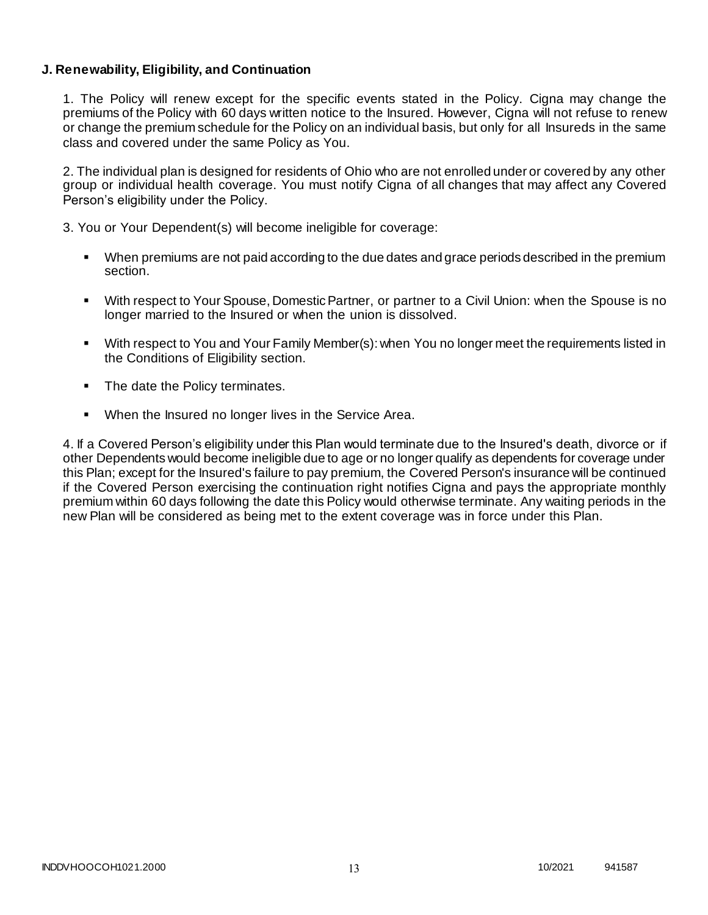### **J. Renewability, Eligibility, and Continuation**

1. The Policy will renew except for the specific events stated in the Policy. Cigna may change the premiums of the Policy with 60 days written notice to the Insured. However, Cigna will not refuse to renew or change the premium schedule for the Policy on an individual basis, but only for all Insureds in the same class and covered under the same Policy as You.

2. The individual plan is designed for residents of Ohio who are not enrolled under or covered by any other group or individual health coverage. You must notify Cigna of all changes that may affect any Covered Person's eligibility under the Policy.

3. You or Your Dependent(s) will become ineligible for coverage:

- When premiums are not paid according to the due dates and grace periods described in the premium section.
- With respect to Your Spouse, Domestic Partner, or partner to a Civil Union: when the Spouse is no longer married to the Insured or when the union is dissolved.
- With respect to You and Your Family Member(s): when You no longer meet the requirements listed in the Conditions of Eligibility section.
- The date the Policy terminates.
- When the Insured no longer lives in the Service Area.

4. If a Covered Person's eligibility under this Plan would terminate due to the Insured's death, divorce or if other Dependents would become ineligible due to age or no longer qualify as dependents for coverage under this Plan; except for the Insured's failure to pay premium, the Covered Person's insurance will be continued if the Covered Person exercising the continuation right notifies Cigna and pays the appropriate monthly premium within 60 days following the date this Policy would otherwise terminate. Any waiting periods in the new Plan will be considered as being met to the extent coverage was in force under this Plan.